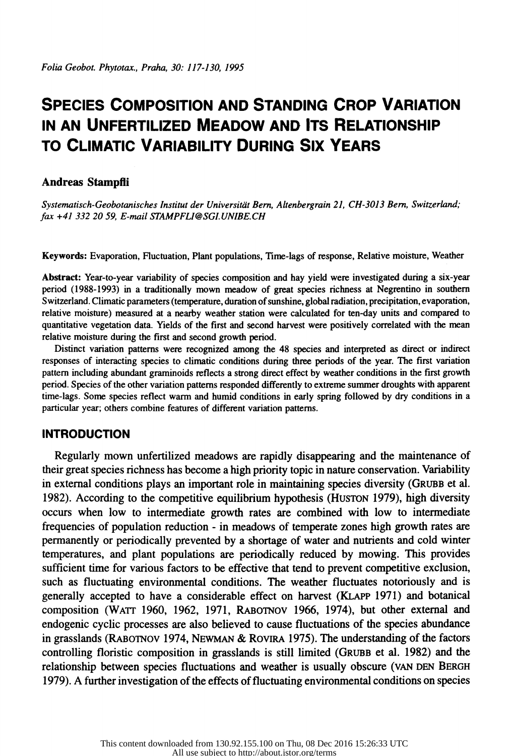# **SPECIES COMPOSITION AND STANDING CROP VARIATION IN AN UNFERTILIZED MEADOW AND ITS RELATIONSHIP TO CLIMATIC VARIABILITY DURING SIX YEARS**

# **Andreas Stampfli**

*Systematisch-Geobotanisches lnstitut der Universitiit Bern, Altenbergrain 21, CH-3013 Bern, Switzerland; fax +41 332 20 59, E-mail STAMPFLJ@SGJ.UNlBE.CH* 

Keywords: Evaporation, Fluctuation, Plant populations, Time-lags of response, Relative moisture, Weather

Abstract: Year-to-year variability of species composition and hay yield were investigated during a six-year period (1988-1993) in a traditionally mown meadow of great species richness at Negrentino in southern Switzerland. Climatic parameters (temperature, duration of sunshine, global radiation, precipitation, evaporation, relative moisture) measured at a nearby weather station were calculated for ten-day units and compared to quantitative vegetation data. Yields of the first and second harvest were positively correlated with the mean relative moisture during the first and second growth period.

Distinct variation patterns were recognized among the 48 species and interpreted as direct or indirect responses of interacting species to climatic conditions during three periods of the year. The first variation pattern including abundant graminoids reflects a strong direct effect by weather conditions in the first growth period. Species of the other variation patterns responded differently to extreme summer droughts with apparent time-lags. Some species reflect warm and humid conditions in early spring followed by dry conditions in a particular year; others combine features of different variation patterns.

# **INTRODUCTION**

Regularly mown unfertilized meadows are rapidly disappearing and the maintenance of their great species richness has become a high priority topic in nature conservation. Variability in external conditions plays an important role in maintaining species diversity (GRUBB et al. 1982). According to the competitive equilibrium hypothesis (HUSTON 1979), high diversity occurs when low to intermediate growth rates are combined with low to intermediate frequencies of population reduction - in meadows of temperate zones high growth rates are permanently or periodically prevented by a shortage of water and nutrients and cold winter temperatures, and plant populations are periodically reduced by mowing. This provides sufficient time for various factors to be effective that tend to prevent competitive exclusion, such as fluctuating environmental conditions. The weather fluctuates notoriously and is generally accepted to have a considerable effect on harvest (KLAPP 1971) and botanical composition (WATT 1960, 1962, 1971, RABOTNOV 1966, 1974), but other external and endogenic cyclic processes are also believed to cause fluctuations of the species abundance in grasslands (RABOTNOV 1974, NEWMAN & ROVIRA 1975). The understanding of the factors controlling floristic composition in grasslands is still limited (GRUBB et al. 1982) and the relationship between species fluctuations and weather is usually obscure (YAN DEN BERGH 1979). A further investigation of the effects of fluctuating environmental conditions on species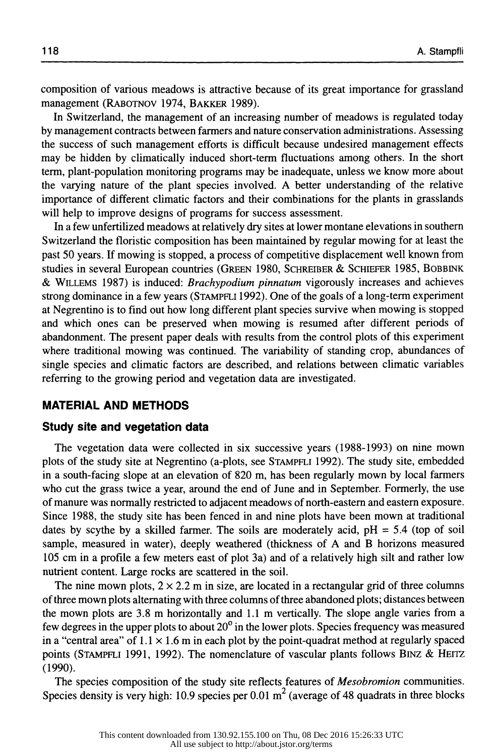composition of various meadows is attractive because of its great importance for grassland management (RABOTNOV 1974, BAKKER 1989).

In Switzerland, the management of an increasing number of meadows is regulated today by management contracts between farmers and nature conservation administrations. Assessing the success of such management efforts is difficult because undesired management effects may be hidden by climatically induced short-term fluctuations among others. In the short term, plant-population monitoring programs may be inadequate, unless we know more about the varying nature of the plant species involved. A better understanding of the relative importance of different climatic factors and their combinations for the plants in grasslands will help to improve designs of programs for success assessment.

In a few unfertilized meadows at relatively dry sites at lower montane elevations in southern Switzerland the floristic composition has been maintained by regular mowing for at least the past 50 years. If mowing is stopped, a process of competitive displacement well known from studies in several European countries (GREEN 1980, SCHREIBER & SCHIEFER 1985, BOBBINK & WILLEMS 1987) is induced: *Brachypodium pinnatum* vigorously increases and achieves strong dominance in a few years (STAMPFLI 1992). One of the goals of a long-term experiment at Negrentino is to find out how long different plant species survive when mowing is stopped and which ones can be preserved when mowing is resumed after different periods of abandonment. The present paper deals with results from the control plots of this experiment where traditional mowing was continued. The variability of standing crop, abundances of single species and climatic factors are described, and relations between climatic variables referring to the growing period and vegetation data are investigated.

### **MATERIAL AND METHODS**

#### **Study site and vegetation data**

The vegetation data were collected in six successive years (1988-1993) on nine mown plots of the study site at Negrentino (a-plots, see STAMPFLI 1992). The study site, embedded in a south-facing slope at an elevation of 820 m, has been regularly mown by local farmers who cut the grass twice a year, around the end of June and in September. Formerly, the use of manure was normally restricted to adjacent meadows of north-eastern and eastern exposure. Since 1988, the study site has been fenced in and nine plots have been mown at traditional dates by scythe by a skilled farmer. The soils are moderately acid,  $pH = 5.4$  (top of soil sample, measured in water), deeply weathered (thickness of A and B horizons measured 105 cm in a profile a few meters east of plot 3a) and of a relatively high silt and rather low nutrient content. Large rocks are scattered in the soil.

The nine mown plots,  $2 \times 2.2$  m in size, are located in a rectangular grid of three columns of three mown plots alternating with three columns of three abandoned plots; distances between the mown plots are 3.8 m horizontally and 1.1 m vertically. The slope angle varies from a few degrees in the upper plots to about  $20^{\circ}$  in the lower plots. Species frequency was measured in a "central area" of  $1.1 \times 1.6$  m in each plot by the point-quadrat method at regularly spaced points (STAMPFLI 1991, 1992). The nomenclature of vascular plants follows BINZ & HEITZ (1990).

The species composition of the study site reflects features of *Mesobromion* communities. Species density is very high: 10.9 species per  $0.01 \text{ m}^2$  (average of 48 quadrats in three blocks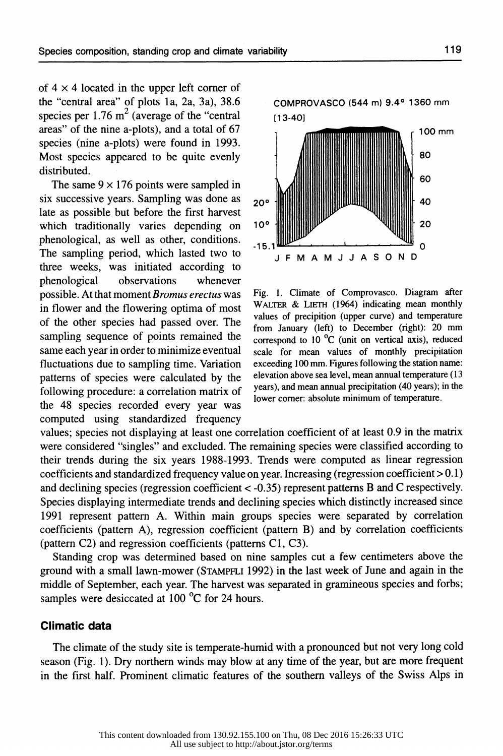of  $4 \times 4$  located in the upper left corner of the "central area" of plots la, 2a, 3a), 38.6 species per  $1.76 \text{ m}^2$  (average of the "central" areas" of the nine a-plots), and a total of 67 species (nine a-plots) were found in 1993. Most species appeared to be quite evenly distributed.

The same  $9 \times 176$  points were sampled in six successive years. Sampling was done as  $20^\circ$ late as possible but before the first harvest which traditionally varies depending on 10° phenological, as well as other, conditions. The sampling period, which lasted two to J F M A M J J A S O N D three weeks, was initiated according to phenological observations whenever possible. At that moment *Bromus erectus* was in flower and the flowering optima of most of the other species had passed over. The sampling sequence of points remained the same each year in order to minimize eventual fluctuations due to sampling time. Variation patterns of species were calculated by the following procedure: a correlation matrix of the 48 species recorded every year was computed using standardized frequency



Fig. I. Climate of Comprovasco. Diagram after WALTER & LIETH (1964) indicating mean monthly values of precipition (upper curve) and temperature from January (left) to December (right): 20 mm correspond to 10 °C (unit on vertical axis), reduced scale for mean values of monthly precipitation exceeding 100 mm. Figures following the station name: elevation above sea level, mean annual temperature ( 13 years), and mean annual precipitation (40 years); in the lower corner: absolute minimum of temperature.

values; species not displaying at least one correlation coefficient of at least 0.9 in the matrix were considered "singles" and excluded. The remaining species were classified according to their trends during the six years 1988-1993. Trends were computed as linear regression coefficients and standardized frequency value on year. Increasing (regression coefficient  $> 0.1$ ) and declining species (regression coefficient< -0.35) represent patterns B and C respectively. Species displaying intermediate trends and declining species which distinctly increased since 1991 represent pattern A. Within main groups species were separated by correlation coefficients (pattern A), regression coefficient (pattern B) and by correlation coefficients (pattern C2) and regression coefficients (patterns Cl, C3).

Standing crop was determined based on nine samples cut a few centimeters above the ground with a small lawn-mower (STAMPFLI 1992) in the last week of June and again in the middle of September, each year. The harvest was separated in gramineous species and forbs; samples were desiccated at 100 °C for 24 hours.

# **Climatic data**

The climate of the study site is temperate-humid with a pronounced but not very long cold season (Fig. 1). Dry northern winds may blow at any time of the year, but are more frequent in the first half. Prominent climatic features of the southern valleys of the Swiss Alps in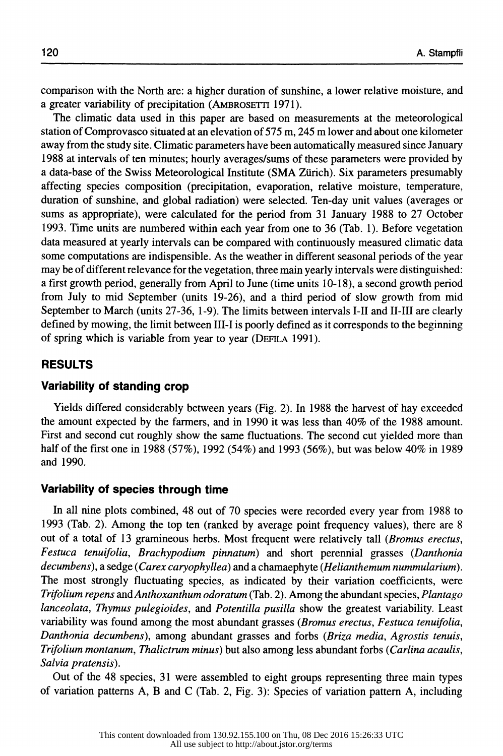comparison with the North are: a higher duration of sunshine, a lower relative moisture, and a greater variability of precipitation (AMBROSETTI 1971).

The climatic data used in this paper are based on measurements at the meteorological station of Comprovasco situated at an elevation of 575 m, 245 m lower and about one kilometer away from the study site. Climatic parameters have been automatically measured since January 1988 at intervals of ten minutes; hourly averages/sums of these parameters were provided by a data-base of the Swiss Meteorological Institute (SMA Zurich). Six parameters presumably affecting species composition (precipitation, evaporation, relative moisture, temperature, duration of sunshine, and global radiation) were selected. Ten-day unit values (averages or sums as appropriate), were calculated for the period from 31 January 1988 to 27 October 1993. Time units are numbered within each year from one to 36 (Tab. 1). Before vegetation data measured at yearly intervals can be compared with continuously measured climatic data some computations are indispensible. As the weather in different seasonal periods of the year may be of different relevance for the vegetation, three main yearly intervals were distinguished: a first growth period, generally from April to June (time units 10-18), a second growth period from July to mid September (units 19-26), and a third period of slow growth from mid September to March (units 27-36, 1-9). The limits between intervals 1-11 and II-III are clearly defined by mowing, the limit between III-I is poorly defined as it corresponds to the beginning of spring which is variable from year to year (DEFILA 1991).

#### **RESULTS**

# **Variability of standing crop**

Yields differed considerably between years (Fig. 2). In 1988 the harvest of hay exceeded the amount expected by the farmers, and in 1990 it was less than 40% of the 1988 amount. First and second cut roughly show the same fluctuations. The second cut yielded more than half of the first one in 1988 (57%), 1992 (54%) and 1993 (56%), but was below 40% in 1989 and 1990.

#### **Variability of species through time**

In all nine plots combined, 48 out of 70 species were recorded every year from 1988 to 1993 (Tab. 2). Among the top ten (ranked by average point frequency values), there are 8 out of a total of 13 gramineous herbs. Most frequent were relatively tall *(Bromus erectus, Festuca tenuifolia, Brachypodium pinnatum)* and short perennial grasses *(Danthonia decumbens* ), a sedge ( *Carex caryophyllea)* and a chamaephyte *(Helianihemum nummularium* ). The most strongly fluctuating species, as indicated by their variation coefficients, were *Trifolium repens andAnthoxanthum odoratum* (Tab. 2). Among the abundant species, *Plantago lanceolata, Thymus pulegioides,* and *Potentilla pusilla* show the greatest variability. Least variability was found among the most abundant grasses *(Bromus erectus, Festuca tenuifolia, Danthania decumbens),* among abundant grasses and forbs *(Briza media, Agrostis tenuis, Trifolium montanum, Thalictrum minus)* but also among less abundant forbs *(Carlina acaulis, Salvia pratensis).* 

Out of the 48 species, 31 were assembled to eight groups representing three main types of variation patterns A, B and C (Tab. 2, Fig. 3): Species of variation pattern A, including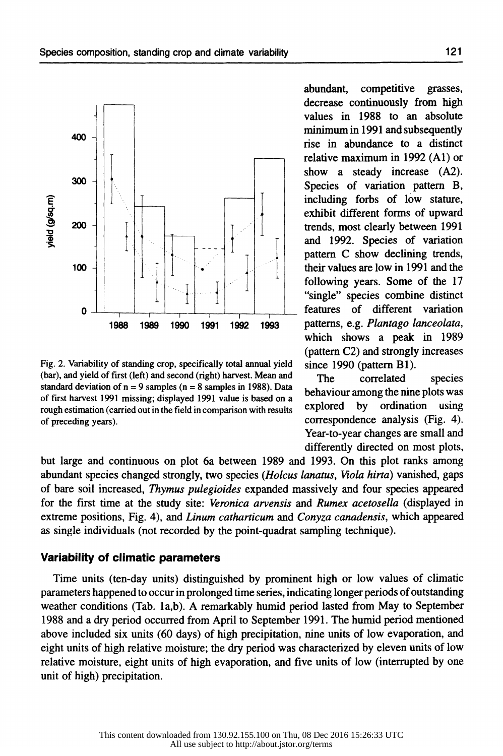

Fig. 2. Variability of standing crop, specifically total annual yield (bar), and yield of first (left) and second (right) harvest. Mean and standard deviation of  $n = 9$  samples ( $n = 8$  samples in 1988). Data of first harvest 1991 missing; displayed 1991 value is based on a rough estimation (carried out in the field in comparison with results of preceding years).

abundant, competitive grasses, decrease continuously from high values in 1988 to an absolute minimum in 1991 and subsequently rise in abundance to a distinct relative maximum in 1992 (Al) or show a steady increase (A2). Species of variation pattern B, including forbs of low stature, exhibit different forms of upward trends, most clearly between 1991 and 1992. Species of variation pattern C show declining trends, their values are low in 1991 and the following years. Some of the 17 "single" species combine distinct patterns, e.g. *Plantago lanceolata,*  which shows a peak in 1989 (pattern C2) and strongly increases since 1990 (pattern Bl).

The correlated species behaviour among the nine plots was explored by ordination using correspondence analysis (Fig. 4). Year-to-year changes are small and differently directed on most plots,

but large and continuous on plot 6a between 1989 and 1993. On this plot ranks among abundant species changed strongly, two species *(Holcus lanatus, Viola hirta)* vanished, gaps of bare soil increased, *Thymus pulegioides* expanded massively and four species appeared for the first time at the study site: *Veronica arvensis* and *Rumex acetosella* (displayed in extreme positions, Fig. 4), and *Linum catharticum* and *Conyza canadensis,* which appeared as single individuals (not recorded by the point-quadrat sampling technique).

#### **Variability of climatic parameters**

Time units (ten-day units) distinguished by prominent high or low values of climatic parameters happened to occur in prolonged time series, indicating longer periods of outstanding weather conditions (Tab. la,b). A remarkably humid period lasted from May to September 1988 and a dry period occurred from April to September 1991. The humid period mentioned above included six units (60 days) of high precipitation, nine units of low evaporation, and eight units of high relative moisture; the dry period was characterized by eleven units of low relative moisture, eight units of high evaporation, and five units of low (interrupted by one unit of high) precipitation.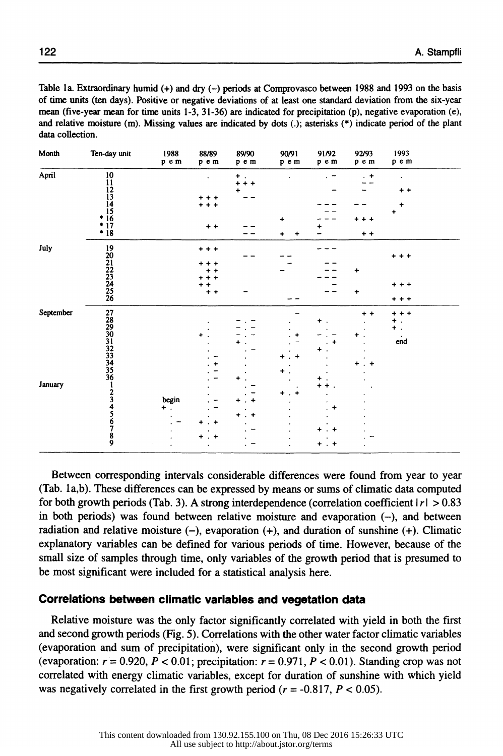Table la. Extraordinary humid(+) and dry(-) periods at Comprovasco between 1988 and 1993 on the basis of time units (ten days). Positive or negative deviations of at least one standard deviation from the six-year mean (five-year mean for time units 1-3, 31-36) are indicated for precipitation (p), negative evaporation (e), and relative moisture (m). Missing values are indicated by dots (.); asterisks  $(*)$  indicate period of the plant data collection.

| Month     | Ten-day unit                                                                      | 1988<br>$\mathsf{p}\ \mathsf{e}\ \mathsf{m}$ | 88/89<br>pem | 89/90<br>pem | 90/91<br>pem | 91/92<br>pem | 92/93<br>pem | 1993<br>pem     |  |
|-----------|-----------------------------------------------------------------------------------|----------------------------------------------|--------------|--------------|--------------|--------------|--------------|-----------------|--|
| April     | $10$<br>$11$<br>$12$<br>$13$<br>$14$<br>$15$<br>$*$<br>$16$<br>$*$<br>$17$<br>$*$ |                                              | ٠            | ۰            |              |              | $+$          | $\bullet$       |  |
|           |                                                                                   |                                              |              | $+ +$        |              |              |              |                 |  |
|           |                                                                                   |                                              |              |              |              |              |              | $^{\tiny{+}}$ + |  |
|           |                                                                                   |                                              | ۰            |              |              |              |              |                 |  |
|           |                                                                                   |                                              | ۰            |              |              |              |              |                 |  |
|           |                                                                                   |                                              |              |              |              |              |              |                 |  |
|           |                                                                                   |                                              |              |              | ۰            |              | + + +        |                 |  |
|           |                                                                                   |                                              | $+ +$        |              |              |              |              |                 |  |
|           |                                                                                   |                                              |              |              |              |              | $+ +$        |                 |  |
| July      | 19<br>20<br>21<br>22<br>23<br>24<br>25<br>26                                      |                                              | $***$        |              |              |              |              |                 |  |
|           |                                                                                   |                                              |              |              |              |              |              | $+ + +$         |  |
|           |                                                                                   |                                              | ٠            |              |              |              |              |                 |  |
|           |                                                                                   |                                              | ÷            |              |              |              | ۰            |                 |  |
|           |                                                                                   |                                              | ٠            |              |              |              |              |                 |  |
|           |                                                                                   |                                              |              |              |              |              |              | $***$           |  |
|           |                                                                                   |                                              | $+ +$        |              |              |              | $\ddot{}$    |                 |  |
|           |                                                                                   |                                              |              |              |              |              |              | $***$           |  |
| September | 2782930132334556123456789                                                         |                                              |              |              |              |              | $+ +$        | $***$           |  |
|           |                                                                                   |                                              |              |              |              |              |              | ٠               |  |
|           |                                                                                   |                                              |              |              |              |              |              | $\pm$ .         |  |
|           |                                                                                   |                                              | +            |              |              |              |              |                 |  |
|           |                                                                                   |                                              |              |              |              |              |              | $\dot{e}$       |  |
|           |                                                                                   |                                              |              |              |              |              |              |                 |  |
|           |                                                                                   |                                              |              |              |              |              |              |                 |  |
|           |                                                                                   |                                              |              |              |              |              | ٠            |                 |  |
|           |                                                                                   |                                              |              |              |              |              |              |                 |  |
|           |                                                                                   |                                              |              |              |              |              |              |                 |  |
| January   |                                                                                   |                                              |              |              |              |              |              |                 |  |
|           |                                                                                   |                                              |              |              |              |              |              |                 |  |
|           |                                                                                   | begin                                        |              |              |              |              |              |                 |  |
|           |                                                                                   | $+$ .                                        |              |              |              | +            |              |                 |  |
|           |                                                                                   |                                              |              | ٠            |              |              |              |                 |  |
|           |                                                                                   |                                              | ٠            |              |              |              |              |                 |  |
|           |                                                                                   |                                              |              |              |              |              |              |                 |  |
|           |                                                                                   |                                              | +<br>÷       |              |              |              |              |                 |  |
|           |                                                                                   |                                              |              |              |              | $+$ . $+$    |              |                 |  |

Between corresponding intervals considerable differences were found from year to year (Tab. la,b). These differences can be expressed by means or sums of climatic data computed for both growth periods (Tab. 3). A strong interdependence (correlation coefficient  $|r| > 0.83$ in both periods) was found between relative moisture and evaporation  $(-)$ , and between radiation and relative moisture  $(-)$ , evaporation  $(+)$ , and duration of sunshine  $(+)$ . Climatic explanatory variables can be defined for various periods of time. However, because of the small size of samples through time, only variables of the growth period that is presumed to be most significant were included for a statistical analysis here.

# **Correlations between climatic variables and vegetation data**

Relative moisture was the only factor significantly correlated with yield in both the first and second growth periods (Fig. 5). Correlations with the other water factor climatic variables (evaporation and sum of precipitation), were significant only in the second growth period (evaporation:  $r = 0.920$ ,  $P < 0.01$ ; precipitation:  $r = 0.971$ ,  $P < 0.01$ ). Standing crop was not correlated with energy climatic variables, except for duration of sunshine with which yield was negatively correlated in the first growth period ( $r = -0.817$ ,  $P < 0.05$ ).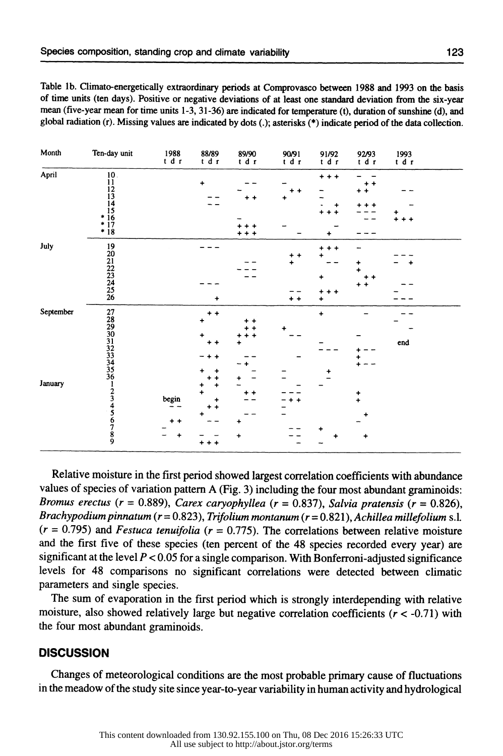Table lb. Climato-energetically extraordinary periods at Comprovasco between 1988 and 1993 on the basis of time units (ten days). Positive or negative deviations of at least one standard deviation from the six-year mean (five-year mean for time units 1-3, 31-36) are indicated for temperature (t), duration of sunshine (d), and <sup>g</sup>lobal radiation (r). Missing values are indicated by dots(.); asterisks(\*) indicate period of the data collection.

| Month     | Ten-day unit                                                                            | $\begin{array}{c} 1988 \\ t \text{ d } r \end{array}$ | 88/89<br>tdr   | 89/90<br>tdr | 90/91<br>tdr           | 91/92<br>tdr | 92/93<br>tdr | $\begin{array}{c} 1993 \\ t \mathrm{d} \mathrm{r} \end{array}$ |  |
|-----------|-----------------------------------------------------------------------------------------|-------------------------------------------------------|----------------|--------------|------------------------|--------------|--------------|----------------------------------------------------------------|--|
| April     | $\begin{array}{c} 10 \\ 11 \\ 12 \\ 13 \\ 14 \\ 15 \\ * 16 \\ * 17 \\ * 18 \end{array}$ |                                                       | $\ddotmark$    |              |                        | $***$        |              |                                                                |  |
|           |                                                                                         |                                                       |                |              |                        |              | + +          |                                                                |  |
|           |                                                                                         |                                                       |                |              | +                      | ۰            | ٠            |                                                                |  |
|           |                                                                                         |                                                       |                |              |                        |              |              |                                                                |  |
|           |                                                                                         |                                                       |                |              |                        |              |              | + +                                                            |  |
|           |                                                                                         |                                                       |                |              |                        |              |              |                                                                |  |
|           |                                                                                         |                                                       |                |              |                        |              |              |                                                                |  |
| July      |                                                                                         |                                                       |                |              |                        | $\ddot{}$    |              |                                                                |  |
|           |                                                                                         |                                                       |                |              | $\ddot{}$<br>$\ddot{}$ |              |              |                                                                |  |
|           |                                                                                         |                                                       |                |              | ÷                      |              | +            |                                                                |  |
|           |                                                                                         |                                                       |                |              |                        |              | ۰            |                                                                |  |
|           |                                                                                         |                                                       |                |              |                        |              |              |                                                                |  |
|           |                                                                                         |                                                       |                |              |                        |              | $+ +$        |                                                                |  |
|           | 19<br>20<br>21<br>22<br>23<br>24<br>25<br>26                                            |                                                       | $\ddot{}$      |              | $^+$ +                 | + + +<br>۰   |              |                                                                |  |
| September |                                                                                         |                                                       | +<br>$\ddot{}$ |              |                        | $\ddot{}$    |              |                                                                |  |
|           |                                                                                         |                                                       |                |              |                        |              |              |                                                                |  |
|           |                                                                                         |                                                       |                |              |                        |              |              |                                                                |  |
|           |                                                                                         |                                                       |                |              |                        |              |              |                                                                |  |
|           |                                                                                         |                                                       |                |              |                        |              |              | $\mathop{\mathrm{end}}$                                        |  |
|           |                                                                                         |                                                       |                |              |                        |              |              |                                                                |  |
|           |                                                                                         |                                                       |                |              |                        |              |              |                                                                |  |
|           |                                                                                         |                                                       |                |              |                        |              |              |                                                                |  |
|           |                                                                                         |                                                       |                |              |                        |              |              |                                                                |  |
| January   |                                                                                         |                                                       |                |              |                        |              |              |                                                                |  |
|           |                                                                                         |                                                       |                |              |                        |              |              |                                                                |  |
|           |                                                                                         | begin                                                 | +              |              |                        |              | $\ddot{ }$   |                                                                |  |
|           |                                                                                         |                                                       |                |              |                        |              |              |                                                                |  |
|           |                                                                                         |                                                       | ٠              |              |                        |              |              |                                                                |  |
|           | 278990113233456123456789                                                                |                                                       |                |              |                        |              |              |                                                                |  |
|           |                                                                                         |                                                       |                | +            |                        |              | +            |                                                                |  |
|           |                                                                                         |                                                       | $\ddot{}$      |              |                        |              |              |                                                                |  |

Relative moisture in the first period showed largest correlation coefficients with abundance values of species of variation pattern A (Fig. 3) including the four most abundant graminoids: *Bromus erectus (r* = 0.889), *Carex caryophyllea (r* = 0.837), *Salvia pratensis (r* = 0.826), *Brachypodium pinnatum (r* = 0.823 ), *Trifolium montanum (r* = 0.821 ), *Achillea millefolium* s.l.  $(r = 0.795)$  and *Festuca tenuifolia* ( $r = 0.775$ ). The correlations between relative moisture and the first five of these species (ten percent of the 48 species recorded every year) are significant at the level  $P < 0.05$  for a single comparison. With Bonferroni-adjusted significance levels for 48 comparisons no significant correlations were detected between climatic parameters and single species.

The sum of evaporation in the first period which is strongly interdepending with relative moisture, also showed relatively large but negative correlation coefficients ( $r < -0.71$ ) with the four most abundant graminoids.

#### **DISCUSSION**

Changes of meteorological conditions are the most probable primary cause of fluctuations in the meadow of the study site since year-to-year variability in human activity and hydrological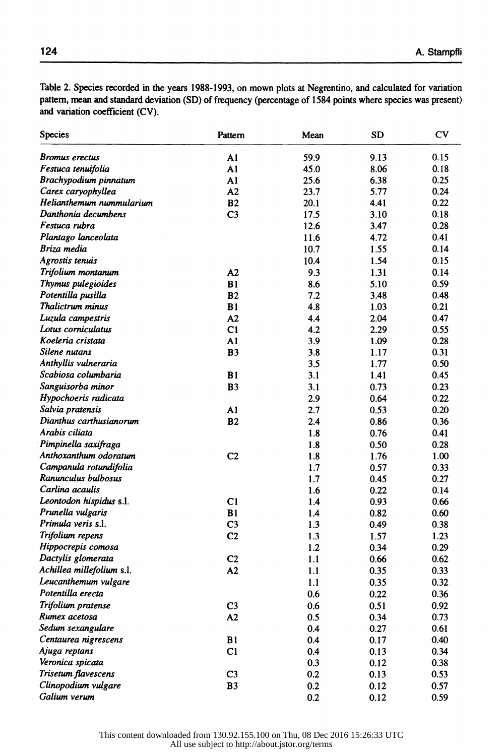Table 2. Species recorded in the years 1988-1993, on mown plots at Negrentino, and calculated for variation pattern, mean and standard deviation (SD) of frequency (percentage of 1584 points where species was present) and variation coefficient (CV).

| <b>Species</b>            | Pattern        | Mean | <b>SD</b> | $\mathbf{C}\mathbf{V}$ |
|---------------------------|----------------|------|-----------|------------------------|
| Bromus erectus            | A1             | 59.9 | 9.13      | 0.15                   |
| Festuca tenuifolia        | A1             | 45.0 | 8.06      | 0.18                   |
| Brachypodium pinnatum     | A1             | 25.6 | 6.38      | 0.25                   |
| Carex caryophyllea        | A2             | 23.7 | 5.77      | 0.24                   |
| Helianthemum nummularium  | B <sub>2</sub> | 20.1 | 4.41      | 0.22                   |
| Danthonia decumbens       | C <sub>3</sub> | 17.5 | 3.10      | 0.18                   |
| Festuca rubra             |                | 12.6 | 3.47      | 0.28                   |
| Plantago lanceolata       |                | 11.6 | 4.72      | 0.41                   |
| Briza media               |                | 10.7 | 1.55      | 0.14                   |
| Agrostis tenuis           |                | 10.4 | 1.54      | 0.15                   |
| Trifolium montanum        | A2             | 9.3  | 1.31      | 0.14                   |
| Thymus pulegioides        | B1             | 8.6  | 5.10      | 0.59                   |
| Potentilla pusilla        | B <sub>2</sub> | 7.2  | 3.48      | 0.48                   |
| Thalictrum minus          | B1             | 4.8  | 1.03      | 0.21                   |
| Luzula campestris         | A2             | 4.4  | 2.04      | 0.47                   |
| Lotus corniculatus        | C1             | 4.2  | 2.29      | 0.55                   |
| Koeleria cristata         | A1             | 3.9  | 1.09      | 0.28                   |
| Silene nutans             | <b>B3</b>      | 3.8  | 1.17      | 0.31                   |
| Anthyllis vulneraria      |                | 3.5  | 1.77      | 0.50                   |
| Scabiosa columbaria       | B1             | 3.1  | 1.41      | 0.45                   |
| Sanguisorba minor         | <b>B3</b>      | 3.1  | 0.73      | 0.23                   |
| Hypochoeris radicata      |                | 2.9  | 0.64      | 0.22                   |
| Salvia pratensis          | A1             | 2.7  | 0.53      | 0.20                   |
| Dianthus carthusianorum   | <b>B2</b>      | 2.4  | 0.86      | 0.36                   |
| Arabis ciliata            |                | 1.8  | 0.76      | 0.41                   |
| Pimpinella saxifraga      |                | 1.8  | 0.50      | 0.28                   |
| Anthoxanthum odoratum     | C <sub>2</sub> | 1.8  | 1.76      | 1.00                   |
| Campanula rotundifolia    |                | 1.7  | 0.57      | 0.33                   |
| Ranunculus bulbosus       |                | 1.7  | 0.45      | 0.27                   |
| Carlina acaulis           |                | 1.6  | 0.22      | 0.14                   |
| Leontodon hispidus s.l.   | C <sub>1</sub> | 1.4  | 0.93      | 0.66                   |
| Prunella vulgaris         | B1             | 1.4  | 0.82      | 0.60                   |
| Primula veris s.l.        | C <sub>3</sub> | 1.3  | 0.49      | 0.38                   |
| Trifolium repens          | C2             | 1.3  | 1.57      | 1.23                   |
| Hippocrepis comosa        |                | 1.2  | 0.34      | 0.29                   |
| Dactylis glomerata        | C <sub>2</sub> | 1.1  | 0.66      | 0.62                   |
| Achillea millefolium s.l. | A2             | 1.1  | 0.35      | 0.33                   |
| Leucanthemum vulgare      |                | 1.1  | 0.35      | 0.32                   |
| Potentilla erecta         |                | 0.6  | 0.22      | 0.36                   |
| Trifolium pratense        | C <sub>3</sub> | 0.6  | 0.51      | 0.92                   |
| Rumex acetosa             | A2             | 0.5  | 0.34      | 0.73                   |
| Sedum sexangulare         |                | 0.4  | 0.27      | 0.61                   |
| Centaurea nigrescens      | B1             | 0.4  | 0.17      | 0.40                   |
| Ajuga reptans             | C1             | 0.4  | 0.13      | 0.34                   |
| Veronica spicata          |                | 0.3  | 0.12      | 0.38                   |
| Trisetum flavescens       | C <sub>3</sub> | 0.2  | 0.13      | 0.53                   |
| Clinopodium vulgare       | B <sub>3</sub> | 0.2  | 0.12      | 0.57                   |
| Galium verum              |                | 0.2  | 0.12      | 0.59                   |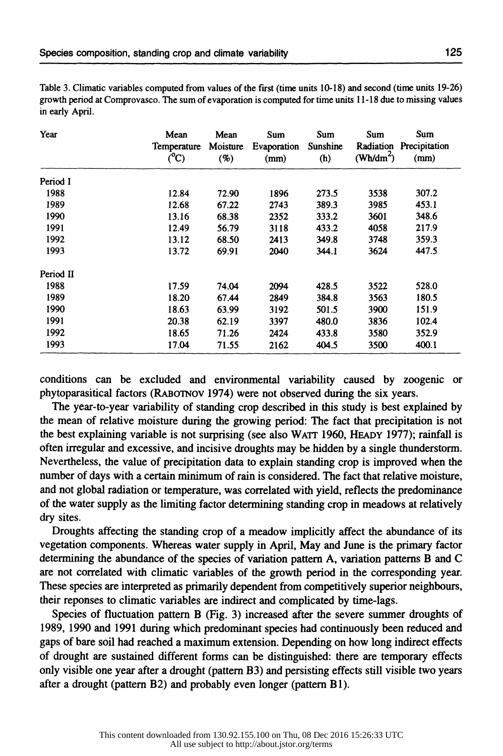| Table 3. Climatic variables computed from values of the first (time units 10-18) and second (time units 19-26) |
|----------------------------------------------------------------------------------------------------------------|
| growth period at Comprovasco. The sum of evaporation is computed for time units 11-18 due to missing values    |
| in early April.                                                                                                |

| Year      | Mean<br>Temperature<br>$\rm (^0C)$ | Mean<br>Moisture<br>(%) | Sum<br>Evaporation<br>(mm) | Sum<br>Sunshine<br>(h) | Sum<br>Radiation<br>(Wh/dm <sup>2</sup> ) | Sum<br>Precipitation<br>(mm) |
|-----------|------------------------------------|-------------------------|----------------------------|------------------------|-------------------------------------------|------------------------------|
| Period I  |                                    |                         |                            |                        |                                           |                              |
| 1988      | 12.84                              | 72.90                   | 1896                       | 273.5                  | 3538                                      | 307.2                        |
| 1989      | 12.68                              | 67.22                   | 2743                       | 389.3                  | 3985                                      | 453.1                        |
| 1990      | 13.16                              | 68.38                   | 2352                       | 333.2                  | 3601                                      | 348.6                        |
| 1991      | 12.49                              | 56.79                   | 3118                       | 433.2                  | 4058                                      | 217.9                        |
| 1992      | 13.12                              | 68.50                   | 2413                       | 349.8                  | 3748                                      | 359.3                        |
| 1993      | 13.72                              | 69.91                   | 2040                       | 344.1                  | 3624                                      | 447.5                        |
| Period II |                                    |                         |                            |                        |                                           |                              |
| 1988      | 17.59                              | 74.04                   | 2094                       | 428.5                  | 3522                                      | 528.0                        |
| 1989      | 18.20                              | 67.44                   | 2849                       | 384.8                  | 3563                                      | 180.5                        |
| 1990      | 18.63                              | 63.99                   | 3192                       | 501.5                  | 3900                                      | 151.9                        |
| 1991      | 20.38                              | 62.19                   | 3397                       | 480.0                  | 3836                                      | 102.4                        |
| 1992      | 18.65                              | 71.26                   | 2424                       | 433.8                  | 3580                                      | 352.9                        |
| 1993      | 17.04                              | 71.55                   | 2162                       | 404.5                  | 3500                                      | 400.1                        |

conditions can be excluded and environmental variability caused by zoogenic or phytoparasitical factors (RABornov 1974) were not observed during the six years.

The year-to-year variability of standing crop described in this study is best explained by the mean of relative moisture during the growing period: The fact that precipitation is not the best explaining variable is not surprising (see also WATT 1960, HEADY 1977); rainfall is often irregular and excessive, and incisive droughts may be hidden by a single thunderstorm. Nevertheless, the value of precipitation data to explain standing crop is improved when the number of days with a certain minimum of rain is considered. The fact that relative moisture, and not global radiation or temperature, was correlated with yield, reflects the predominance of the water supply as the limiting factor determining standing crop in meadows at relatively dry sites.

Droughts affecting the standing crop of a meadow implicitly affect the abundance of its vegetation components. Whereas water supply in April, May and June is the primary factor determining the abundance of the species of variation pattern A, variation patterns B and C are not correlated with climatic variables of the growth period in the corresponding year. These species are interpreted as primarily dependent from competitively superior neighbours, their reponses to climatic variables are indirect and complicated by time-lags.

Species of fluctuation pattern B (Fig. 3) increased after the severe summer droughts of 1989, 1990 and 1991 during which predominant species had continuously been reduced and gaps of bare soil had reached a maximum extension. Depending on how long indirect effects of drought are sustained different forms can be distinguished: there are temporary effects only visible one year after a drought (pattern B3) and persisting effects still visible two years after a drought (pattern B2) and probably even longer (pattern Bl).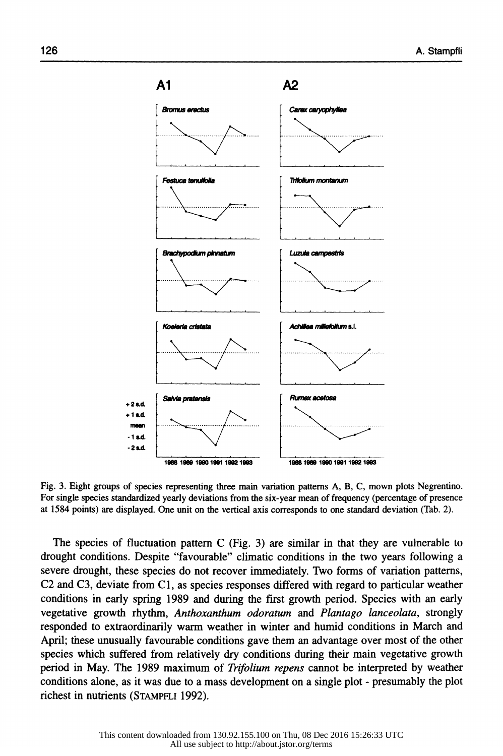

Fig. 3. Eight groups of species representing three main variation patterns A, B, C, mown plots Negrentino. For single species standardized yearly deviations from the six-year mean of frequency (percentage of presence at 1584 points) are displayed. One unit on the vertical axis corresponds to one standard deviation (Tab. 2).

The species of fluctuation pattern  $C$  (Fig. 3) are similar in that they are vulnerable to drought conditions. Despite "favourable" climatic conditions in the two years following a severe drought, these species do not recover immediately. Two forms of variation patterns, C2 and C3, deviate from Cl, as species responses differed with regard to particular weather conditions in early spring 1989 and during the first growth period. Species with an early vegetative growth rhythm, *Anthoxanthum odoratum* and *Plantago lanceolata,* strongly responded to extraordinarily warm weather in winter and humid conditions in March and April; these unusually favourable conditions gave them an advantage over most of the other species which suffered from relatively dry conditions during their main vegetative growth period in May. The 1989 maximum of *Trifolium repens* cannot be interpreted by weather conditions alone, as it was due to a mass development on a single plot - presumably the plot richest in nutrients (STAMPFLI 1992).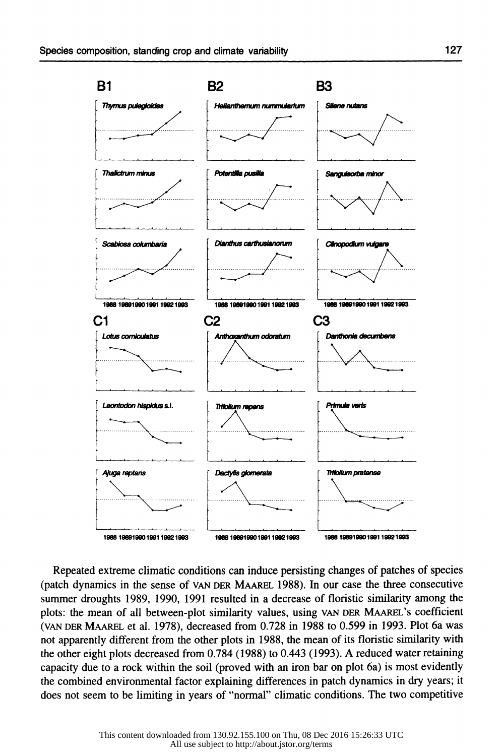

Repeated extreme climatic conditions can induce persisting changes of patches of species (patch dynamics in the sense of VAN DER MAAREL 1988). In our case the three consecutive summer droughts 1989, 1990, 1991 resulted in a decrease of floristic similarity among the plots: the mean of all between-plot similarity values, using VAN DER MAAREL's coefficient (VAN DER MAAREL et al. 1978), decreased from 0.728 in 1988 to 0.599 in 1993. Plot 6a was not apparently different from the other plots in 1988, the mean of its floristic similarity with the other eight plots decreased from 0.784 (1988) to 0.443 (1993). A reduced water retaining capacity due to a rock within the soil (proved with an iron bar on plot 6a) is most evidently the combined environmental factor explaining differences in patch dynamics in dry years; it does not seem to be limiting in years of "normal" climatic conditions. The two competitive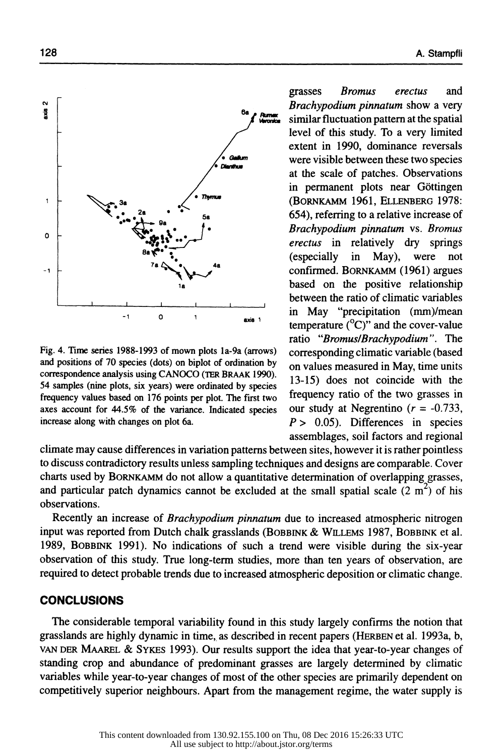

Fig. 4. Time series 1988-1993 of mown plots la-9a (arrows) and positions of 70 species (dots) on biplot of ordination by correspondence analysis using CANOCO (TER BRAAK 1990). 54 samples (nine plots, six years) were ordinated by species frequency values based on 176 points per plot. The first two axes account for 44.5% of the variance. Indicated species increase along with changes on plot 6a.

grasses *Bromus erectus* and *Brachypodium pinnatum* show a very similar fluctuation pattern at the spatial level of this study. To a very limited extent in 1990, dominance reversals were visible between these two species at the scale of patches. Observations in permanent plots near Gottingen (BORNKAMM 1961, ELLENBERG 1978: 654), referring to a relative increase of *Brachypodium pinnatum* vs. *Bromus erectus* in relatively dry springs (especially in May), were not confirmed. BoRNKAMM ( 1961) argues based on the positive relationship between the ratio of climatic variables in May "precipitation (mm)/mean temperature  $(^{0}C)$ " and the cover-value ratio *"Bromus/Brachypodium".* The corresponding climatic variable (based on values measured in May, time units 13-15) does not coincide with the frequency ratio of the two grasses in our study at Negrentino  $(r = -0.733)$ , *P* > 0.05). Differences in species assemblages, soil factors and regional

climate may cause differences in variation patterns between sites, however it is rather pointless to discuss contradictory results unless sampling techniques and designs are comparable. Cover charts used by BORNKAMM do not allow a quantitative determination of overlapping grasses, and particular patch dynamics cannot be excluded at the small spatial scale (2  $m<sup>2</sup>$ ) of his observations.

Recently an increase of *Brachypodium pinnatum* due to increased atmospheric nitrogen input was reported from Dutch chalk grasslands (BOBBINK & WILLEMS 1987, BOBBINK et al. 1989, BOBBINK 1991). No indications of such a trend were visible during the six-year observation of this study. True long-term studies, more than ten years of observation, are required to detect probable trends due to increased atmospheric deposition or climatic change.

# **CONCLUSIONS**

The considerable temporal variability found in this study largely confirms the notion that grasslands are highly dynamic in time, as described in recent papers (HERBEN et al. 1993a, b, VAN DER MAAREL & SYKES 1993). Our results support the idea that year-to-year changes of standing crop and abundance of predominant grasses are largely determined by climatic variables while year-to-year changes of most of the other species are primarily dependent on competitively superior neighbours. Apart from the management regime, the water supply is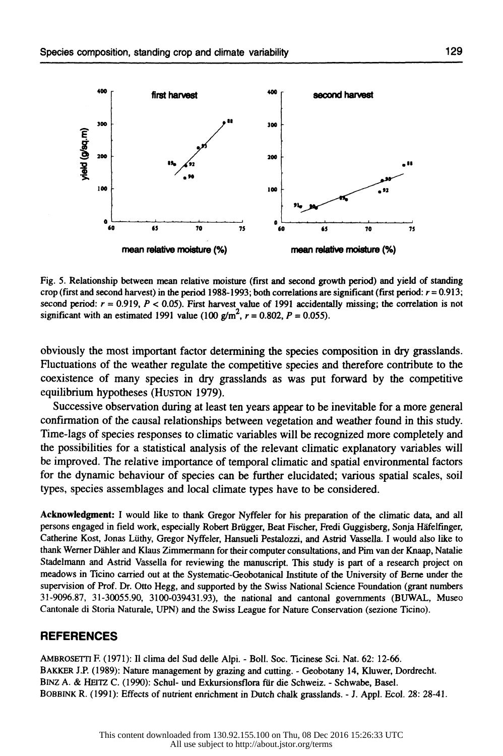

Fig. 5. Relationship between mean relative moisture (first and second growth period) and yield of standing crop (first and second harvest) in the period 1988-1993; both correlations are significant (first period:  $r = 0.913$ ; second period:  $r = 0.919$ ,  $P < 0.05$ ). First harvest value of 1991 accidentally missing; the correlation is not significant with an estimated 1991 value (100 g/m<sup>2</sup>,  $r = 0.802$ ,  $P = 0.055$ ).

obviously the most important factor determining the species composition in dry grasslands. Fluctuations of the weather regulate the competitive species and therefore contribute to the coexistence of many species in dry grasslands as was put forward by the competitive equilibrium hypotheses (HUSTON 1979).

Successive observation during at least ten years appear to be inevitable for a more general confirmation of the causal relationships between vegetation and weather found in this study. Time-lags of species responses to climatic variables will be recognized more completely and the possibilities for a statistical analysis of the relevant climatic explanatory variables will be improved. The relative importance of temporal climatic and spatial environmental factors for the dynamic behaviour of species can be further elucidated; various spatial scales, soil types, species assemblages and local climate types have to be considered.

Acknowledgment: I would like to thank Gregor Nyffeler for his preparation of the climatic data, and all persons engaged in field work, especially Robert Brügger, Beat Fischer, Fredi Guggisberg, Sonja Häfelfinger, Catherine Kost, Jonas Luthy, Gregor Nyffeler, Hansueli Pestalozzi, and Astrid Vassella. I would also like to thank Werner Dahler and Klaus Zimmermann for their computer consultations, and Pim van der Knaap, Natalie Stadelmann and Astrid Vassella for reviewing the manuscript. This study is part of a research project on meadows in Ticino carried out at the Systematic-Geobotanical Institute of the University of Berne under the supervision of Prof. Dr. Otto Hegg, and supported by the Swiss National Science Foundation (grant numbers 31-9096.87, 31-30055.90, 3100-039431.93), the national and cantonal governments (BUWAL, Museo Cantonale di Storia Naturale, UPN) and the Swiss League for Nature Conservation (sezione Ticino).

#### **REFERENCES**

AMBROSETI1 F. (1971): II clima del Sud delle Alpi. - Boll. Soc. Ticinese Sci. Nat. 62: 12-66. BAKKER J.P. (1989): Nature management by grazing and cutting. - Geobotany 14, Kluwer, Dordrecht. BINZ A. & HEI1Z C. (1990): Schul- und Exkursionsflora fiir die Schweiz. - Schwabe, Basel. BOBBINK R. (1991): Effects of nutrient enrichment in Dutch chalk grasslands. - J. Appl. Ecol. 28: 28-41.